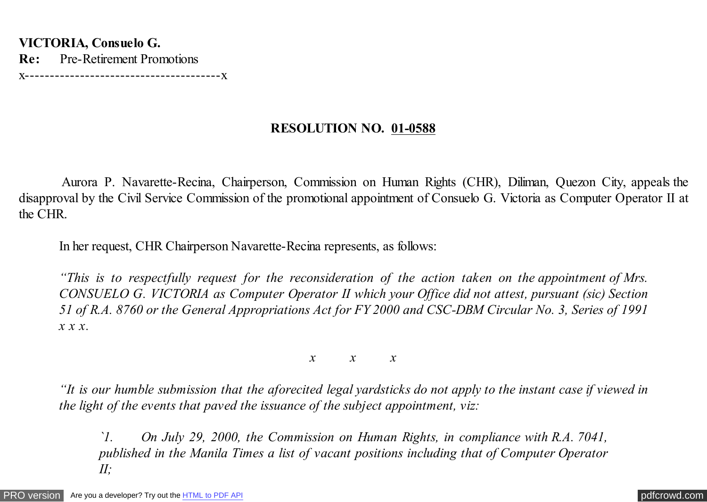**VICTORIA, Consuelo G. Re:** Pre-Retirement Promotions x---------------------------------------x

## **RESOLUTION NO. 01-0588**

 Aurora P. Navarette-Recina, Chairperson, Commission on Human Rights (CHR), Diliman, Quezon City, appeals the disapproval by the Civil Service Commission of the promotional appointment of Consuelo G. Victoria as Computer Operator II at the CHR.

In her request, CHR Chairperson Navarette-Recina represents, as follows:

*"This is to respectfully request for the reconsideration of the action taken on the appointment of Mrs. CONSUELO G. VICTORIA as Computer Operator II which your Office did not attest, pursuant (sic) Section 51 of R.A. 8760 or the General Appropriations Act for FY 2000 and CSC-DBM Circular No. 3, Series of 1991 x x x.*

*x x x*

*"It is our humble submission that the aforecited legal yardsticks do not apply to the instant case if viewed in the light of the events that paved the issuance of the subject appointment, viz:*

*`1. On July 29, 2000, the Commission on Human Rights, in compliance with R.A. 7041, published in the Manila Times a list of vacant positions including that of Computer Operator II;*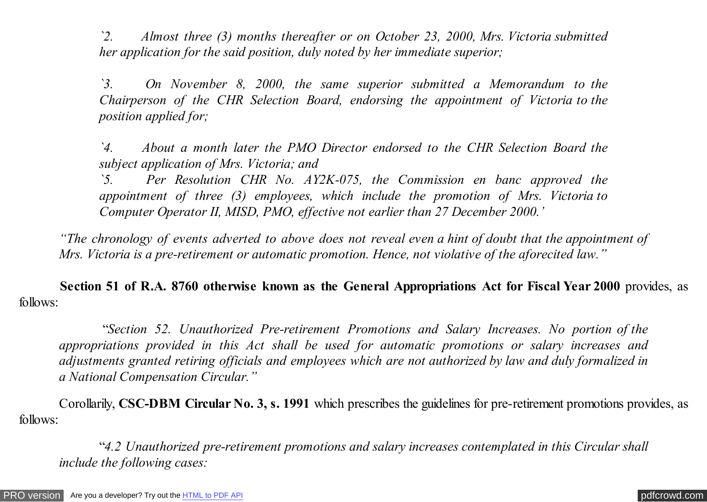*`2. Almost three (3) months thereafter or on October 23, 2000, Mrs. Victoria submitted her application for the said position, duly noted by her immediate superior;*

*`3. On November 8, 2000, the same superior submitted a Memorandum to the Chairperson of the CHR Selection Board, endorsing the appointment of Victoria to the position applied for;*

*`4. About a month later the PMO Director endorsed to the CHR Selection Board the subject application of Mrs. Victoria; and*

*`5. Per Resolution CHR No. AY2K-075, the Commission en banc approved the appointment of three (3) employees, which include the promotion of Mrs. Victoria to Computer Operator II, MISD, PMO, effective not earlier than 27 December 2000.'*

*"The chronology of events adverted to above does not reveal even a hint of doubt that the appointment of Mrs. Victoria is a pre-retirement or automatic promotion. Hence, not violative of the aforecited law."*

 **Section 51 of R.A. 8760 otherwise known as the General Appropriations Act for Fiscal Year 2000** provides, as follows:

 "*Section 52. Unauthorized Pre-retirement Promotions and Salary Increases. No portion of the appropriations provided in this Act shall be used for automatic promotions or salary increases and adjustments granted retiring officials and employees which are not authorized by law and duly formalized in a National Compensation Circular."*

 Corollarily, **CSC-DBM Circular No. 3, s. 1991** which prescribes the guidelines for pre-retirement promotions provides, as follows:

 "*4.2 Unauthorized pre-retirement promotions and salary increases contemplated in this Circular shall include the following cases:*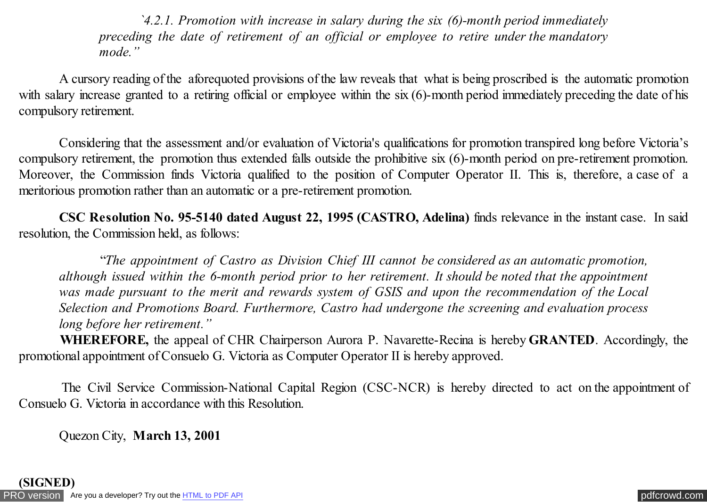*`4.2.1. Promotion with increase in salary during the six (6)-month period immediately preceding the date of retirement of an official or employee to retire under the mandatory mode."*

 A cursory reading of the aforequoted provisions of the law reveals that what is being proscribed is the automatic promotion with salary increase granted to a retiring official or employee within the six (6)-month period immediately preceding the date of his compulsory retirement.

 Considering that the assessment and/or evaluation of Victoria's qualifications for promotion transpired long before Victoria's compulsory retirement, the promotion thus extended falls outside the prohibitive six (6)-month period on pre-retirement promotion. Moreover, the Commission finds Victoria qualified to the position of Computer Operator II. This is, therefore, a case of a meritorious promotion rather than an automatic or a pre-retirement promotion.

 **CSC Resolution No. 95-5140 dated August 22, 1995 (CASTRO, Adelina)** finds relevance in the instant case. In said resolution, the Commission held, as follows:

 "*The appointment of Castro as Division Chief III cannot be considered as an automatic promotion, although issued within the 6-month period prior to her retirement. It should be noted that the appointment was made pursuant to the merit and rewards system of GSIS and upon the recommendation of the Local Selection and Promotions Board. Furthermore, Castro had undergone the screening and evaluation process long before her retirement."*

 **WHEREFORE,** the appeal of CHR Chairperson Aurora P. Navarette-Recina is hereby **GRANTED**. Accordingly, the promotional appointment of Consuelo G. Victoria as Computer Operator II is hereby approved.

 The Civil Service Commission-National Capital Region (CSC-NCR) is hereby directed to act on the appointment of Consuelo G. Victoria in accordance with this Resolution.

Quezon City, **March 13, 2001**